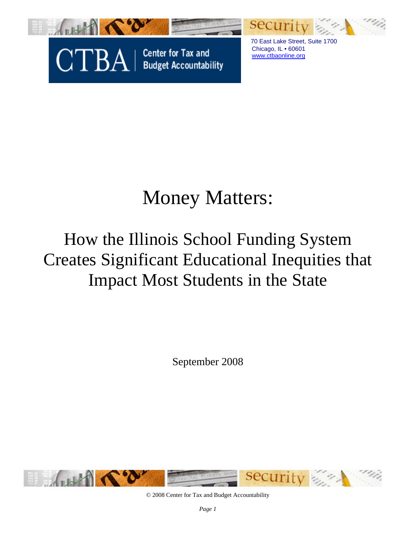

**Center for Tax and<br>Budget Accountability CTBA** 

70 East Lake Street, Suite 1700 Chicago, IL • 60601 [www.ctbaonline.org](http://www.ctbaonline.org/)

# Money Matters:

## How the Illinois School Funding System Creates Significant Educational Inequities that Impact Most Students in the State

September 2008

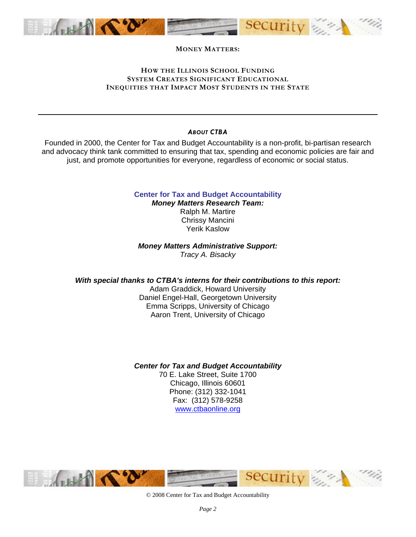

#### **HOW THE ILLINOIS SCHOOL FUNDING SYSTEM CREATES SIGNIFICANT EDUCATIONAL INEQUITIES THAT IMPACT MOST STUDENTS IN THE STATE**

#### *ABOUT CTBA*

Founded in 2000, the Center for Tax and Budget Accountability is a non-profit, bi-partisan research and advocacy think tank committed to ensuring that tax, spending and economic policies are fair and just, and promote opportunities for everyone, regardless of economic or social status.

#### **Center for Tax and Budget Accountability**

*Money Matters Research Team:* 

Ralph M. Martire Chrissy Mancini Yerik Kaslow

*Money Matters Administrative Support: Tracy A. Bisacky*

#### *With special thanks to CTBA's interns for their contributions to this report:*

Adam Graddick, Howard University Daniel Engel-Hall, Georgetown University Emma Scripps, University of Chicago Aaron Trent, University of Chicago

*Center for Tax and Budget Accountability* 

70 E. Lake Street, Suite 1700 Chicago, Illinois 60601 Phone: (312) 332-1041 Fax: (312) 578-9258 [www.ctbaonline.org](http://www.ctbaonline.org/)

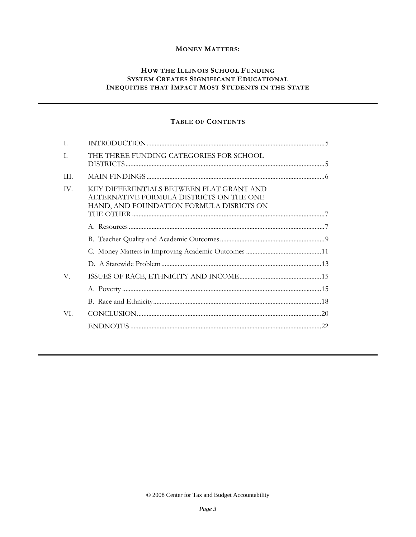#### <span id="page-2-1"></span>HOW THE ILLINOIS SCHOOL FUNDING SYSTEM CREATES SIGNIFICANT EDUCATIONAL INEQUITIES THAT IMPACT MOST STUDENTS IN THE STATE

#### **TABLE OF CONTENTS**

<span id="page-2-0"></span>

| T.      |                                                                                                                                  |    |
|---------|----------------------------------------------------------------------------------------------------------------------------------|----|
| L.      | THE THREE FUNDING CATEGORIES FOR SCHOOL                                                                                          |    |
| III.    |                                                                                                                                  |    |
| IV.     | KEY DIFFERENTIALS BETWEEN FLAT GRANT AND<br>ALTERNATIVE FORMULA DISTRICTS ON THE ONE<br>HAND, AND FOUNDATION FORMULA DISRICTS ON |    |
|         |                                                                                                                                  |    |
|         |                                                                                                                                  |    |
|         |                                                                                                                                  |    |
|         |                                                                                                                                  |    |
| $V_{.}$ |                                                                                                                                  |    |
|         |                                                                                                                                  |    |
|         |                                                                                                                                  |    |
| VI.     |                                                                                                                                  |    |
|         |                                                                                                                                  | 22 |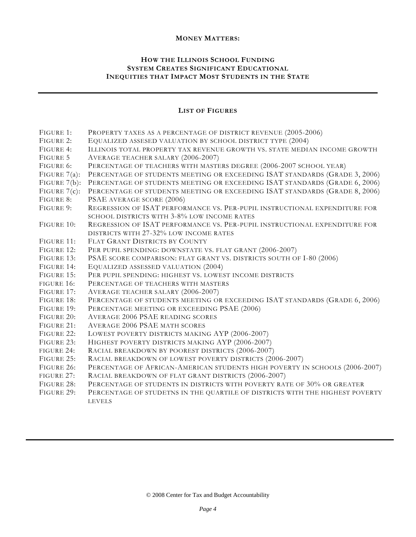#### **HOW THE ILLINOIS SCHOOL FUNDING SYSTEM CREATES SIGNIFICANT EDUCATIONAL INEQUITIES THAT IMPACT MOST STUDENTS IN THE STATE**

#### **LIST OF FIGURES**

| FIGURE 1:       | PROPERTY TAXES AS A PERCENTAGE OF DISTRICT REVENUE (2005-2006)               |
|-----------------|------------------------------------------------------------------------------|
| FIGURE 2:       | EQUALIZED ASSESED VALUATION BY SCHOOL DISTRICT TYPE (2004)                   |
| FIGURE 4:       | ILLINOIS TOTAL PROPERTY TAX REVENUE GROWTH VS. STATE MEDIAN INCOME GROWTH    |
| FIGURE 5        | AVERAGE TEACHER SALARY (2006-2007)                                           |
| FIGURE 6:       | PERCENTAGE OF TEACHERS WITH MASTERS DEGREE (2006-2007 SCHOOL YEAR)           |
| FIGURE $7(a)$ : | PERCENTAGE OF STUDENTS MEETING OR EXCEEDING ISAT STANDARDS (GRADE 3, 2006)   |
| FIGURE $7(b)$ : | PERCENTAGE OF STUDENTS MEETING OR EXCEEDING ISAT STANDARDS (GRADE 6, 2006)   |
| FIGURE $7(c)$ : | PERCENTAGE OF STUDENTS MEETING OR EXCEEDING ISAT STANDARDS (GRADE 8, 2006)   |
| FIGURE 8:       | PSAE AVERAGE SCORE (2006)                                                    |
| FIGURE 9:       | REGRESSION OF ISAT PERFORMANCE VS. PER-PUPIL INSTRUCTIONAL EXPENDITURE FOR   |
|                 | SCHOOL DISTRICTS WITH 3-8% LOW INCOME RATES                                  |
| FIGURE 10:      | REGRESSION OF ISAT PERFORMANCE VS. PER-PUPIL INSTRUCTIONAL EXPENDITURE FOR   |
|                 | DISTRICTS WITH 27-32% LOW INCOME RATES                                       |
| FIGURE 11:      | FLAT GRANT DISTRICTS BY COUNTY                                               |
| FIGURE 12:      | PER PUPIL SPENDING: DOWNSTATE VS. FLAT GRANT (2006-2007)                     |
| FIGURE 13:      | PSAE SCORE COMPARISON: FLAT GRANT VS. DISTRICTS SOUTH OF I-80 (2006)         |
| FIGURE 14:      | EQUALIZED ASSESSED VALUATION (2004)                                          |
| FIGURE 15:      | PER PUPIL SPENDING: HIGHEST VS. LOWEST INCOME DISTRICTS                      |
| FIGURE 16:      | PERCENTAGE OF TEACHERS WITH MASTERS                                          |
| FIGURE 17:      | AVERAGE TEACHER SALARY (2006-2007)                                           |
| FIGURE 18:      | PERCENTAGE OF STUDENTS MEETING OR EXCEEDING ISAT STANDARDS (GRADE 6, 2006)   |
| FIGURE 19:      | PERCENTAGE MEETING OR EXCEEDING PSAE (2006)                                  |
| FIGURE 20:      | <b>AVERAGE 2006 PSAE READING SCORES</b>                                      |
| FIGURE 21:      | <b>AVERAGE 2006 PSAE MATH SCORES</b>                                         |
| FIGURE 22:      | LOWEST POVERTY DISTRICTS MAKING AYP (2006-2007)                              |
| FIGURE 23:      | HIGHEST POVERTY DISTRICTS MAKING AYP (2006-2007)                             |
| FIGURE 24:      | RACIAL BREAKDOWN BY POOREST DISTRICTS (2006-2007)                            |
| FIGURE 25:      | RACIAL BREAKDOWN OF LOWEST POVERTY DISTRICTS (2006-2007)                     |
| FIGURE 26:      | PERCENTAGE OF AFRICAN-AMERICAN STUDENTS HIGH POVERTY IN SCHOOLS (2006-2007)  |
| FIGURE 27:      | RACIAL BREAKDOWN OF FLAT GRANT DISTRICTS (2006-2007)                         |
| FIGURE 28:      | PERCENTAGE OF STUDENTS IN DISTRICTS WITH POVERTY RATE OF 30% OR GREATER      |
| FIGURE 29:      | PERCENTAGE OF STUDETNS IN THE QUARTILE OF DISTRICTS WITH THE HIGHEST POVERTY |
|                 | <b>LEVELS</b>                                                                |
|                 |                                                                              |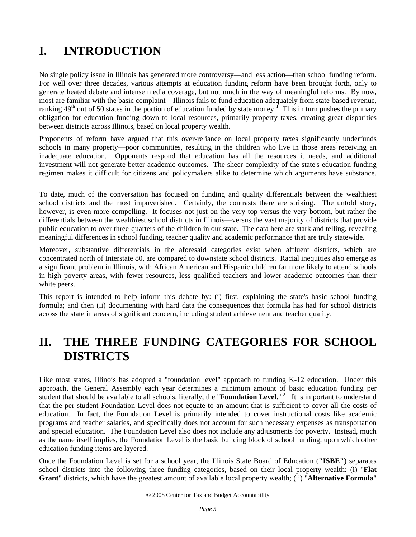### **I. INTRODUCTION**

No single policy issue in Illinois has generated more controversy—and less action—than school funding reform. For well over three decades, various attempts at education funding reform have been brought forth, only to generate heated debate and intense media coverage, but not much in the way of meaningful reforms. By now, most are familiar with the basic complaint—Illinois fails to fund education adequately from state-based revenue, ranking  $49<sup>th</sup>$  out of 50 states in the portion of education funded by state money.<sup>[1](#page-2-0)</sup> This in turn pushes the primary obligation for education funding down to local resources, primarily property taxes, creating great disparities between districts across Illinois, based on local property wealth.

Proponents of reform have argued that this over-reliance on local property taxes significantly underfunds schools in many property—poor communities, resulting in the children who live in those areas receiving an inadequate education. Opponents respond that education has all the resources it needs, and additional investment will not generate better academic outcomes. The sheer complexity of the state's education funding regimen makes it difficult for citizens and policymakers alike to determine which arguments have substance.

To date, much of the conversation has focused on funding and quality differentials between the wealthiest school districts and the most impoverished. Certainly, the contrasts there are striking. The untold story, however, is even more compelling. It focuses not just on the very top versus the very bottom, but rather the differentials between the wealthiest school districts in Illinois—versus the vast majority of districts that provide public education to over three-quarters of the children in our state. The data here are stark and telling, revealing meaningful differences in school funding, teacher quality and academic performance that are truly statewide.

Moreover, substantive differentials in the aforesaid categories exist when affluent districts, which are concentrated north of Interstate 80, are compared to downstate school districts. Racial inequities also emerge as a significant problem in Illinois, with African American and Hispanic children far more likely to attend schools in high poverty areas, with fewer resources, less qualified teachers and lower academic outcomes than their white peers.

This report is intended to help inform this debate by: (i) first, explaining the state's basic school funding formula; and then (ii) documenting with hard data the consequences that formula has had for school districts across the state in areas of significant concern, including student achievement and teacher quality.

### **II. THE THREE FUNDING CATEGORIES FOR SCHOOL DISTRICTS**

Like most states, Illinois has adopted a "foundation level" approach to funding K-12 education. Under this approach, the General Assembly each year determines a minimum amount of basic education funding per student that should be available to all schools, literally, the "**Foundation Level**."<sup>[2](#page-2-1)</sup> It is important to understand that the per student Foundation Level does not equate to an amount that is sufficient to cover all the costs of education. In fact, the Foundation Level is primarily intended to cover instructional costs like academic programs and teacher salaries, and specifically does not account for such necessary expenses as transportation and special education. The Foundation Level also does not include any adjustments for poverty. Instead, much as the name itself implies, the Foundation Level is the basic building block of school funding, upon which other education funding items are layered.

Once the Foundation Level is set for a school year, the Illinois State Board of Education (**"ISBE"**) separates school districts into the following three funding categories, based on their local property wealth: (i) "**Flat Grant**" districts, which have the greatest amount of available local property wealth; (ii) "**Alternative Formula**"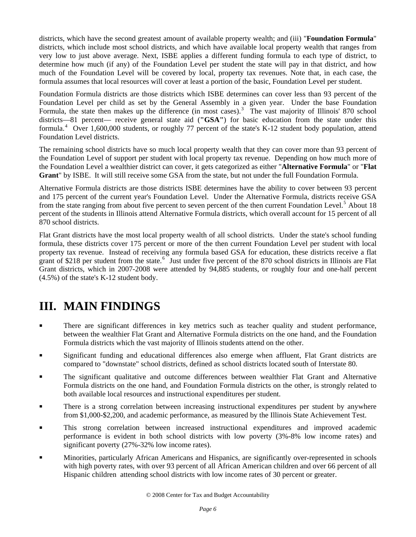districts, which have the second greatest amount of available property wealth; and (iii) "**Foundation Formula**" districts, which include most school districts, and which have available local property wealth that ranges from very low to just above average. Next, ISBE applies a different funding formula to each type of district, to determine how much (if any) of the Foundation Level per student the state will pay in that district, and how much of the Foundation Level will be covered by local, property tax revenues. Note that, in each case, the formula assumes that local resources will cover at least a portion of the basic, Foundation Level per student.

Foundation Formula districts are those districts which ISBE determines can cover less than 93 percent of the Foundation Level per child as set by the General Assembly in a given year. Under the base Foundation Formula, the state then makes up the difference (in most cases).<sup>[3](#page-2-1)</sup> The vast majority of Illinois' 870 school districts—81 percent— receive general state aid (**"GSA"**) for basic education from the state under this formula.<sup>[4](#page-2-1)</sup> Over 1,600,000 students, or roughly 77 percent of the state's K-12 student body population, attend Foundation Level districts.

The remaining school districts have so much local property wealth that they can cover more than 93 percent of the Foundation Level of support per student with local property tax revenue. Depending on how much more of the Foundation Level a wealthier district can cover, it gets categorized as either "**Alternative Formula**" or "**Flat Grant**" by ISBE. It will still receive some GSA from the state, but not under the full Foundation Formula.

Alternative Formula districts are those districts ISBE determines have the ability to cover between 93 percent and 175 percent of the current year's Foundation Level. Under the Alternative Formula, districts receive GSA from the state ranging from about five percent to seven percent of the then current Foundation Level.<sup>[5](#page-2-1)</sup> About 18 percent of the students in Illinois attend Alternative Formula districts, which overall account for 15 percent of all 870 school districts.

Flat Grant districts have the most local property wealth of all school districts. Under the state's school funding formula, these districts cover 175 percent or more of the then current Foundation Level per student with local property tax revenue. Instead of receiving any formula based GSA for education, these districts receive a flat grant of \$218 per student from the state.<sup>[6](#page-2-1)</sup> Just under five percent of the 870 school districts in Illinois are Flat Grant districts, which in 2007-2008 were attended by 94,885 students, or roughly four and one-half percent (4.5%) of the state's K-12 student body.

### **III. MAIN FINDINGS**

- There are significant differences in key metrics such as teacher quality and student performance, between the wealthier Flat Grant and Alternative Formula districts on the one hand, and the Foundation Formula districts which the vast majority of Illinois students attend on the other.
- Significant funding and educational differences also emerge when affluent, Flat Grant districts are compared to "downstate" school districts, defined as school districts located south of Interstate 80.
- The significant qualitative and outcome differences between wealthier Flat Grant and Alternative Formula districts on the one hand, and Foundation Formula districts on the other, is strongly related to both available local resources and instructional expenditures per student.
- There is a strong correlation between increasing instructional expenditures per student by anywhere from \$1,000-\$2,200, and academic performance, as measured by the Illinois State Achievement Test.
- This strong correlation between increased instructional expenditures and improved academic performance is evident in both school districts with low poverty (3%-8% low income rates) and significant poverty (27%-32% low income rates).
- **EXECUTE:** Minorities, particularly African Americans and Hispanics, are significantly over-represented in schools with high poverty rates, with over 93 percent of all African American children and over 66 percent of all Hispanic children attending school districts with low income rates of 30 percent or greater.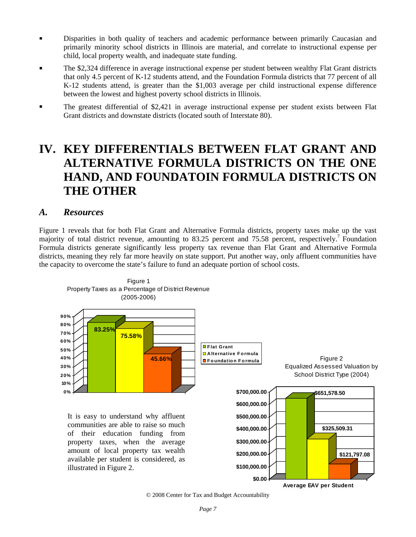- Disparities in both quality of teachers and academic performance between primarily Caucasian and primarily minority school districts in Illinois are material, and correlate to instructional expense per child, local property wealth, and inadequate state funding.
- The \$2,324 difference in average instructional expense per student between wealthy Flat Grant districts that only 4.5 percent of K-12 students attend, and the Foundation Formula districts that 77 percent of all K-12 students attend, is greater than the \$1,003 average per child instructional expense difference between the lowest and highest poverty school districts in Illinois.
- The greatest differential of \$2,421 in average instructional expense per student exists between Flat Grant districts and downstate districts (located south of Interstate 80).

### **IV. KEY DIFFERENTIALS BETWEEN FLAT GRANT AND ALTERNATIVE FORMULA DISTRICTS ON THE ONE HAND, AND FOUNDATOIN FORMULA DISTRICTS ON THE OTHER**

#### *A. Resources*

Figure 1 reveals that for both Flat Grant and Alternative Formula districts, property taxes make up the vast majority of total district revenue, amounting to 83.25 percent and 75.58 percent, respectively.<sup>7</sup> Foundation Formula districts generate significantly less property tax revenue than Flat Grant and Alternative Formula districts, meaning they rely far more heavily on state support. Put another way, only affluent communities have the capacity to overcome the state's failure to fund an adequate portion of school costs.

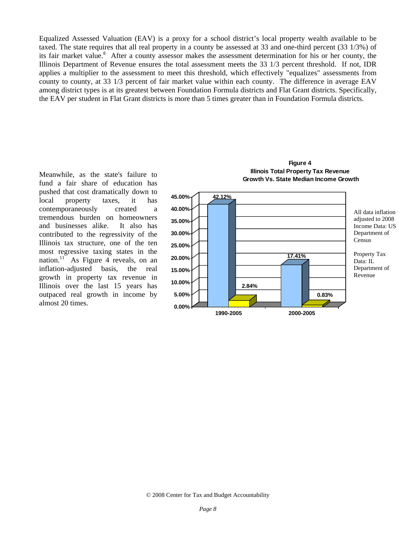Equalized Assessed Valuation (EAV) is a proxy for a school district's local property wealth available to be taxed. The state requires that all real property in a county be assessed at 33 and one-third percent (33 1/3%) of its fair market value.<sup>8</sup> After a county assessor makes the assessment determination for his or her county, the Illinois Department of Revenue ensures the total assessment meets the 33 1/3 percent threshold. If not, IDR applies a multiplier to the assessment to meet this threshold, which effectively "equalizes" assessments from county to county, at 33 1/3 percent of fair market value within each county. The difference in average EAV among district types is at its greatest between Foundation Formula districts and Flat Grant districts. Specifically, the EAV per student in Flat Grant districts is more than 5 times greater than in Foundation Formula districts.

Meanwhile, as the state's failure to fund a fair share of education has pushed that cost dramatically down to local property taxes, it has contemporaneously created a tremendous burden on homeowners and businesses alike. It also has contributed to the regressivity of the Illinois tax structure, one of the ten most regressive taxing states in the nation.<sup>11</sup> As Figure 4 reveals, on an inflation-adjusted basis, the real growth in property tax revenue in Illinois over the last 15 years has outpaced real growth in income by almost 20 times.

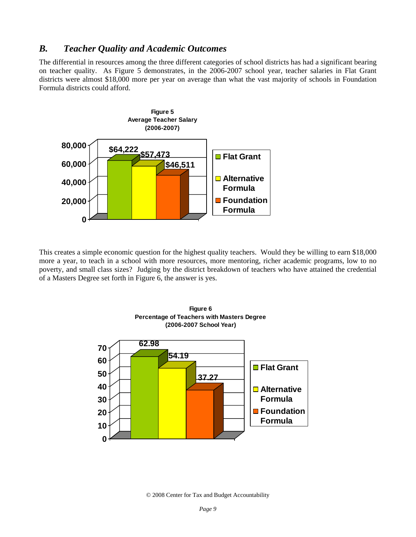#### *B. Teacher Quality and Academic Outcomes*

The differential in resources among the three different categories of school districts has had a significant bearing on teacher quality. As Figure 5 demonstrates, in the 2006-2007 school year, teacher salaries in Flat Grant districts were almost \$18,000 more per year on average than what the vast majority of schools in Foundation Formula districts could afford.



This creates a simple economic question for the highest quality teachers. Would they be willing to earn \$18,000 more a year, to teach in a school with more resources, more mentoring, richer academic programs, low to no poverty, and small class sizes? Judging by the district breakdown of teachers who have attained the credential of a Masters Degree set forth in Figure 6, the answer is yes.

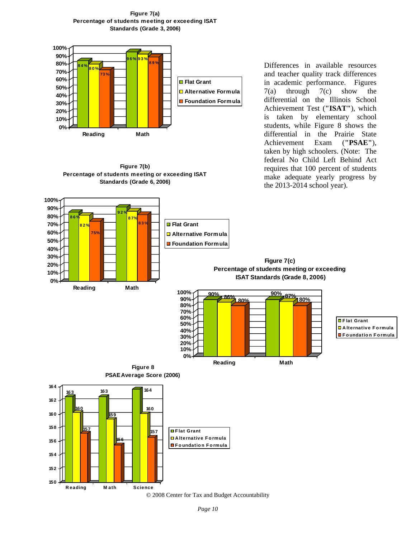**Standards (Grade 3, 2006) Figure 7(a) Percentage of students meeting or exceeding ISAT** 



© 2008 Center for Tax and Budget Accountability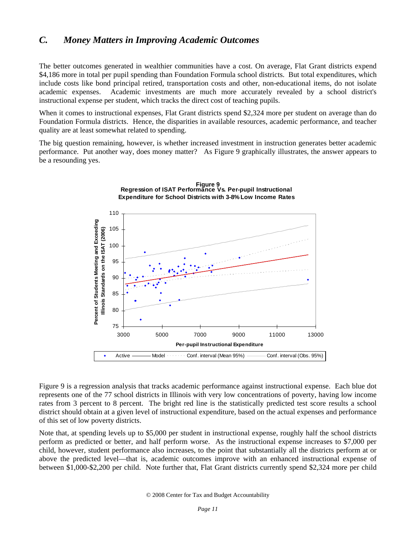#### *C. Money Matters in Improving Academic Outcomes*

The better outcomes generated in wealthier communities have a cost. On average, Flat Grant districts expend \$4,186 more in total per pupil spending than Foundation Formula school districts. But total expenditures, which include costs like bond principal retired, transportation costs and other, non-educational items, do not isolate academic expenses. Academic investments are much more accurately revealed by a school district's instructional expense per student, which tracks the direct cost of teaching pupils.

When it comes to instructional expenses, Flat Grant districts spend \$2,324 more per student on average than do Foundation Formula districts. Hence, the disparities in available resources, academic performance, and teacher quality are at least somewhat related to spending.

The big question remaining, however, is whether increased investment in instruction generates better academic performance. Put another way, does money matter? As Figure 9 graphically illustrates, the answer appears to be a resounding yes.



Figure 9 is a regression analysis that tracks academic performance against instructional expense. Each blue dot represents one of the 77 school districts in Illinois with very low concentrations of poverty, having low income rates from 3 percent to 8 percent. The bright red line is the statistically predicted test score results a school district should obtain at a given level of instructional expenditure, based on the actual expenses and performance of this set of low poverty districts.

Note that, at spending levels up to \$5,000 per student in instructional expense, roughly half the school districts perform as predicted or better, and half perform worse. As the instructional expense increases to \$7,000 per child, however, student performance also increases, to the point that substantially all the districts perform at or above the predicted level—that is, academic outcomes improve with an enhanced instructional expense of between \$1,000-\$2,200 per child. Note further that, Flat Grant districts currently spend \$2,324 more per child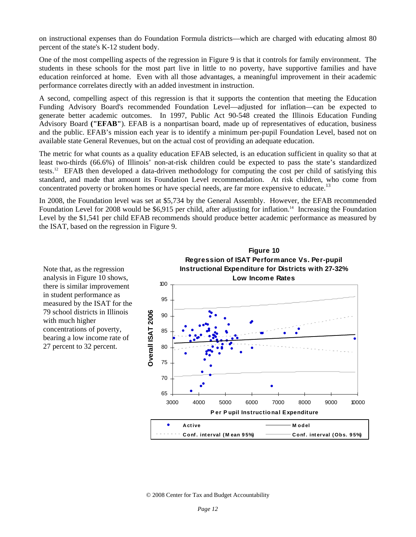on instructional expenses than do Foundation Formula districts—which are charged with educating almost 80 percent of the state's K-12 student body.

One of the most compelling aspects of the regression in Figure 9 is that it controls for family environment. The students in these schools for the most part live in little to no poverty, have supportive families and have education reinforced at home. Even with all those advantages, a meaningful improvement in their academic performance correlates directly with an added investment in instruction.

A second, compelling aspect of this regression is that it supports the contention that meeting the Education Funding Advisory Board's recommended Foundation Level—adjusted for inflation—can be expected to generate better academic outcomes. In 1997, Public Act 90-548 created the Illinois Education Funding Advisory Board **("EFAB"**). EFAB is a nonpartisan board, made up of representatives of education, business and the public. EFAB's mission each year is to identify a minimum per-pupil Foundation Level, based not on available state General Revenues, but on the actual cost of providing an adequate education.

The metric for what counts as a quality education EFAB selected, is an education sufficient in quality so that at least two-thirds (66.6%) of Illinois' non-at-risk children could be expected to pass the state's standardized tests.12 EFAB then developed a data-driven methodology for computing the cost per child of satisfying this standard, and made that amount its Foundation Level recommendation. At risk children, who come from concentrated poverty or broken homes or have special needs, are far more expensive to educate.<sup>13</sup>

In 2008, the Foundation level was set at \$5,734 by the General Assembly. However, the EFAB recommended Foundation Level for 2008 would be \$6,915 per child, after adjusting for inflation.<sup>14</sup> Increasing the Foundation Level by the \$1,541 per child EFAB recommends should produce better academic performance as measured by the ISAT, based on the regression in Figure 9.

Note that, as the regression analysis in Figure 10 shows, there is similar improvement in student performance as measured by the ISAT for the 79 school districts in Illinois with much higher concentrations of poverty, bearing a low income rate of 27 percent to 32 percent.



© 2008 Center for Tax and Budget Accountability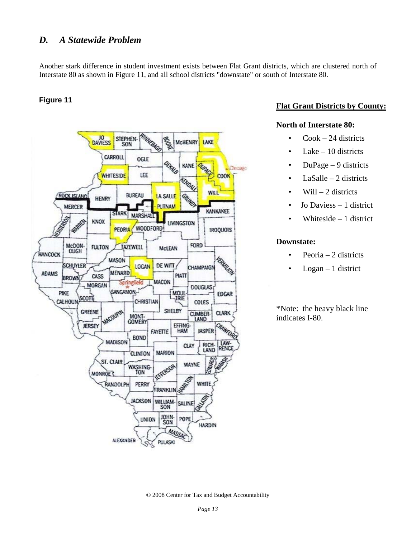#### *D. A Statewide Problem*

Another stark difference in student investment exists between Flat Grant districts, which are clustered north of Interstate 80 as shown in Figure 11, and all school districts "downstate" or south of Interstate 80.



### **Figure 11 Figure 11 Figure 11 Figure 11 Flat Grant Districts by County:**

#### **North of Interstate 80:**

- $Cook 24$  districts
- Lake  $-10$  districts
- DuPage  $-9$  districts
- $LaSalle 2$  districts
- $Will 2$  districts
- Jo Daviess 1 district
- Whiteside  $-1$  district

#### **Downstate:**

- Peoria  $-2$  districts
- $Logan 1$  district

\*Note: the heavy black line indicates I-80.

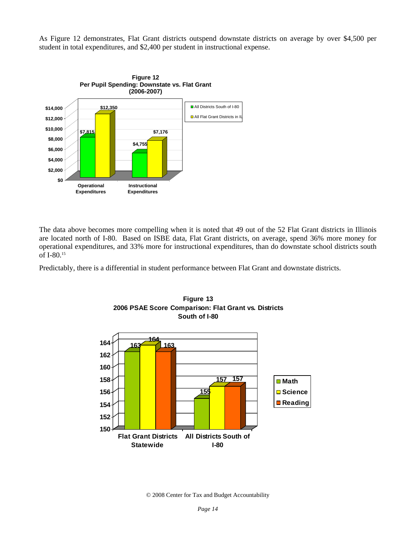As Figure 12 demonstrates, Flat Grant districts outspend downstate districts on average by over \$4,500 per student in total expenditures, and \$2,400 per student in instructional expense.



The data above becomes more compelling when it is noted that 49 out of the 52 Flat Grant districts in Illinois are located north of I-80. Based on ISBE data, Flat Grant districts, on average, spend 36% more money for operational expenditures, and 33% more for instructional expenditures, than do downstate school districts south of I-80.15

Predictably, there is a differential in student performance between Flat Grant and downstate districts.



**Figure 13 2006 PSAE Score Comparison: Flat Grant vs. Districts South of I-80**

© 2008 Center for Tax and Budget Accountability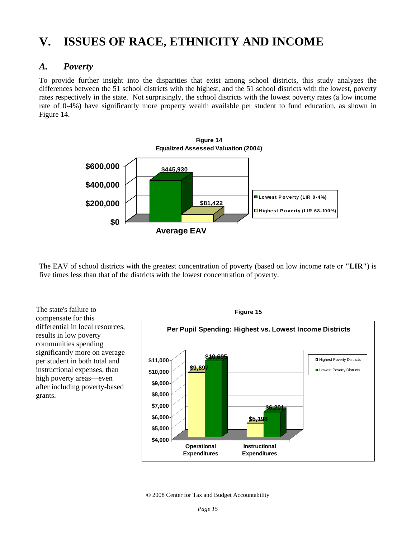## **V. ISSUES OF RACE, ETHNICITY AND INCOME**

#### *A. Poverty*

To provide further insight into the disparities that exist among school districts, this study analyzes the differences between the 51 school districts with the highest, and the 51 school districts with the lowest, poverty rates respectively in the state. Not surprisingly, the school districts with the lowest poverty rates (a low income rate of 0-4%) have significantly more property wealth available per student to fund education, as shown in Figure 14.



The EAV of school districts with the greatest concentration of poverty (based on low income rate or **"LIR"**) is five times less than that of the districts with the lowest concentration of poverty.

**Figure 15** compensate for this differential in local resources, results in low poverty communities spending significantly more on average per student in both total and instructional expenses, than high poverty areas—even after including poverty-based grants.

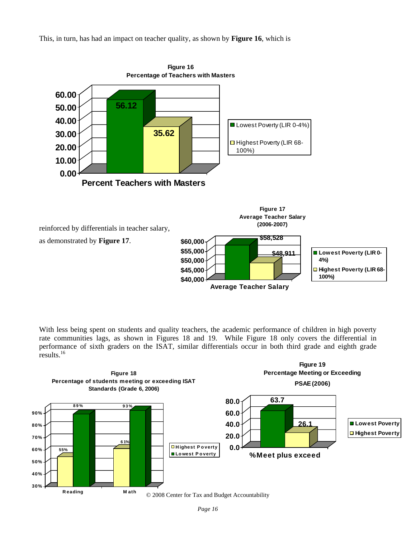This, in turn, has had an impact on teacher quality, as shown by **Figure 16**, which is



With less being spent on students and quality teachers, the academic performance of children in high poverty rate communities lags, as shown in Figures 18 and 19. While Figure 18 only covers the differential in performance of sixth graders on the ISAT, similar differentials occur in both third grade and eighth grade results.<sup>16</sup>



*Page 16*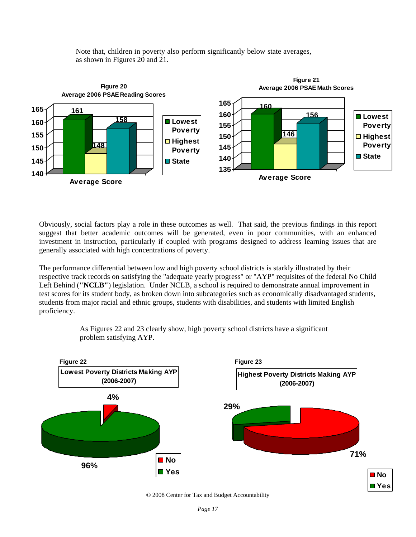

Note that, children in poverty also perform significantly below state averages, as shown in Figures 20 and 21.

Obviously, social factors play a role in these outcomes as well. That said, the previous findings in this report suggest that better academic outcomes will be generated, even in poor communities, with an enhanced investment in instruction, particularly if coupled with programs designed to address learning issues that are generally associated with high concentrations of poverty.

The performance differential between low and high poverty school districts is starkly illustrated by their respective track records on satisfying the "adequate yearly progress" or "AYP" requisites of the federal No Child Left Behind (**"NCLB"**) legislation. Under NCLB, a school is required to demonstrate annual improvement in test scores for its student body, as broken down into subcategories such as economically disadvantaged students, students from major racial and ethnic groups, students with disabilities, and students with limited English proficiency.



As Figures 22 and 23 clearly show, high poverty school districts have a significant problem satisfying AYP.

© 2008 Center for Tax and Budget Accountability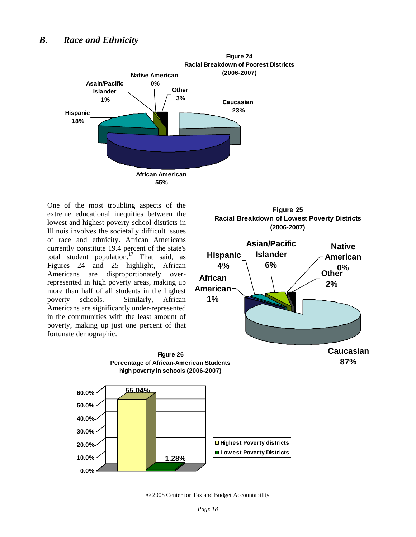#### *B. Race and Ethnicity*



One of the most troubling aspects of the extreme educational inequities between the lowest and highest poverty school districts in Illinois involves the societally difficult issues of race and ethnicity. African Americans currently constitute 19.4 percent of the state's total student population.<sup>17</sup> That said, as Figures 24 and 25 highlight, African Americans are disproportionately overrepresented in high poverty areas, making up more than half of all students in the highest poverty schools. Similarly, African Americans are significantly under-represented in the communities with the least amount of poverty, making up just one percent of that fortunate demographic.







**Figure 26**

© 2008 Center for Tax and Budget Accountability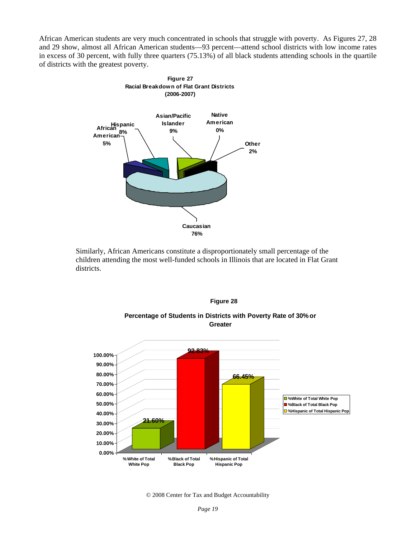African American students are very much concentrated in schools that struggle with poverty. As Figures 27, 28 and 29 show, almost all African American students—93 percent—attend school districts with low income rates in excess of 30 percent, with fully three quarters (75.13%) of all black students attending schools in the quartile of districts with the greatest poverty.



Similarly, African Americans constitute a disproportionately small percentage of the children attending the most well-funded schools in Illinois that are located in Flat Grant districts.



 **Figure 28**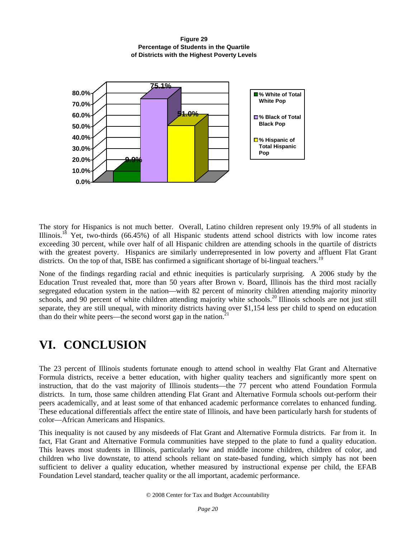**Figure 29 Percentage of Students in the Quartile of Districts with the Highest Poverty Levels**



The story for Hispanics is not much better. Overall, Latino children represent only 19.9% of all students in Illinois.<sup>18</sup> Yet, two-thirds (66.45%) of all Hispanic students attend school districts with low income rates exceeding 30 percent, while over half of all Hispanic children are attending schools in the quartile of districts with the greatest poverty. Hispanics are similarly underrepresented in low poverty and affluent Flat Grant districts. On the top of that, ISBE has confirmed a significant shortage of bi-lingual teachers.<sup>19</sup>

None of the findings regarding racial and ethnic inequities is particularly surprising. A 2006 study by the Education Trust revealed that, more than 50 years after Brown v. Board, Illinois has the third most racially segregated education system in the nation—with 82 percent of minority children attending majority minority schools, and 90 percent of white children attending majority white schools.<sup>20</sup> Illinois schools are not just still separate, they are still unequal, with minority districts having over \$1,154 less per child to spend on education than do their white peers—the second worst gap in the nation. $^{21}$ 

### **VI. CONCLUSION**

The 23 percent of Illinois students fortunate enough to attend school in wealthy Flat Grant and Alternative Formula districts, receive a better education, with higher quality teachers and significantly more spent on instruction, that do the vast majority of Illinois students—the 77 percent who attend Foundation Formula districts. In turn, those same children attending Flat Grant and Alternative Formula schools out-perform their peers academically, and at least some of that enhanced academic performance correlates to enhanced funding. These educational differentials affect the entire state of Illinois, and have been particularly harsh for students of color—African Americans and Hispanics.

This inequality is not caused by any misdeeds of Flat Grant and Alternative Formula districts. Far from it. In fact, Flat Grant and Alternative Formula communities have stepped to the plate to fund a quality education. This leaves most students in Illinois, particularly low and middle income children, children of color, and children who live downstate, to attend schools reliant on state-based funding, which simply has not been sufficient to deliver a quality education, whether measured by instructional expense per child, the EFAB Foundation Level standard, teacher quality or the all important, academic performance.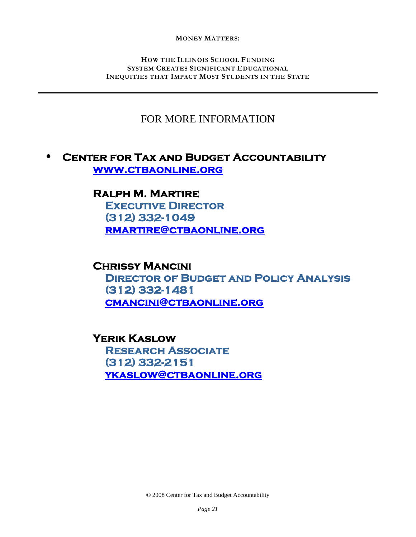**HOW THE ILLINOIS SCHOOL FUNDING SYSTEM CREATES SIGNIFICANT EDUCATIONAL INEQUITIES THAT IMPACT MOST STUDENTS IN THE STATE**

#### FOR MORE INFORMATION

### **• Center for Tax and Budget Accountability [www.ctbaonline.org](http://www.ctbaonline.org/)**

#### **Ralph M. Martire**

**Executive Director (312) 332-1049 [rmartire@ctbaonline.org](mailto:rmartire@ctbaonline.org)** 

#### **Chrissy Mancini**

**Director of Budget and Policy Analysis (312) 332-1481 [cmancini@ctbaonline.org](mailto:cmancini@ctbaonline.org)** 

#### **Yerik Kaslow**

**Research Associate (312) 332-2151 [ykaslow@ctbaonline.org](mailto:ykaslow@ctbaonline.org)**